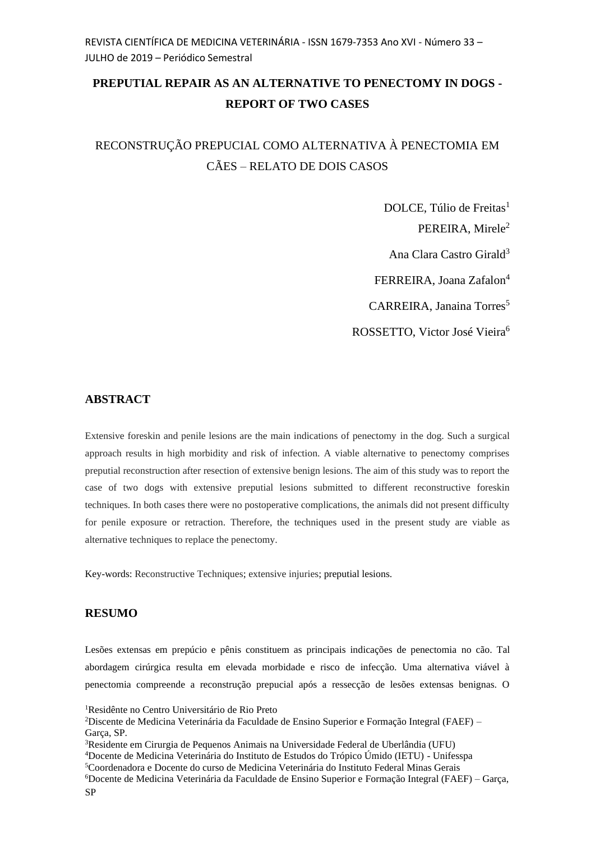## **PREPUTIAL REPAIR AS AN ALTERNATIVE TO PENECTOMY IN DOGS - REPORT OF TWO CASES**

# RECONSTRUÇÃO PREPUCIAL COMO ALTERNATIVA À PENECTOMIA EM CÃES – RELATO DE DOIS CASOS

DOLCE, Túlio de Freitas<sup>1</sup> PEREIRA, Mirele<sup>2</sup> Ana Clara Castro Girald<sup>3</sup> FERREIRA, Joana Zafalon<sup>4</sup> CARREIRA, Janaina Torres<sup>5</sup> ROSSETTO, Victor José Vieira<sup>6</sup>

### **ABSTRACT**

Extensive foreskin and penile lesions are the main indications of penectomy in the dog. Such a surgical approach results in high morbidity and risk of infection. A viable alternative to penectomy comprises preputial reconstruction after resection of extensive benign lesions. The aim of this study was to report the case of two dogs with extensive preputial lesions submitted to different reconstructive foreskin techniques. In both cases there were no postoperative complications, the animals did not present difficulty for penile exposure or retraction. Therefore, the techniques used in the present study are viable as alternative techniques to replace the penectomy.

Key-words: Reconstructive Techniques; extensive injuries; preputial lesions.

#### **RESUMO**

Lesões extensas em prepúcio e pênis constituem as principais indicações de penectomia no cão. Tal abordagem cirúrgica resulta em elevada morbidade e risco de infecção. Uma alternativa viável à penectomia compreende a reconstrução prepucial após a ressecção de lesões extensas benignas. O

<sup>1</sup>Residênte no Centro Universitário de Rio Preto

<sup>2</sup>Discente de Medicina Veterinária da Faculdade de Ensino Superior e Formação Integral (FAEF) – Garça, SP.

<sup>3</sup>Residente em Cirurgia de Pequenos Animais na Universidade Federal de Uberlândia (UFU)

<sup>4</sup>Docente de Medicina Veterinária do Instituto de Estudos do Trópico Úmido (IETU) - Unifesspa

<sup>5</sup>Coordenadora e Docente do curso de Medicina Veterinária do Instituto Federal Minas Gerais

<sup>6</sup>Docente de Medicina Veterinária da Faculdade de Ensino Superior e Formação Integral (FAEF) – Garça, SP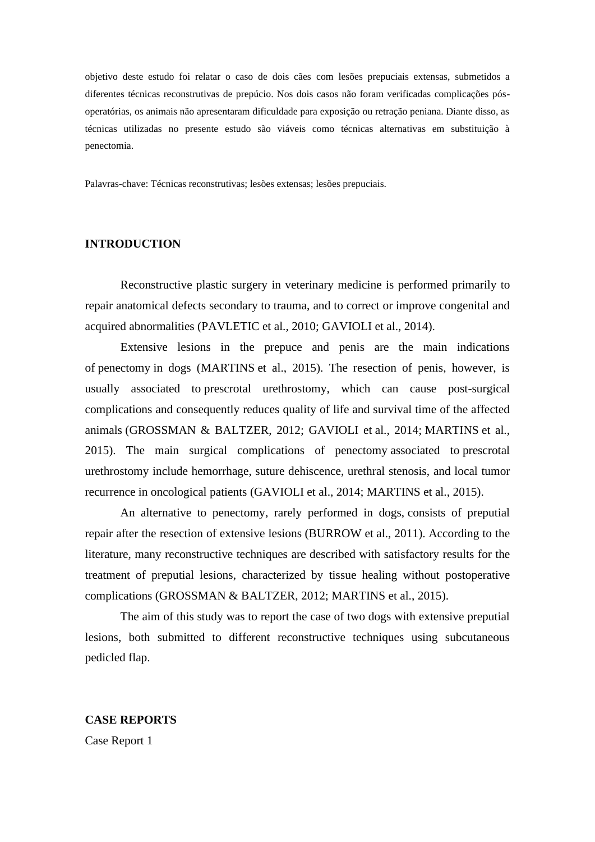objetivo deste estudo foi relatar o caso de dois cães com lesões prepuciais extensas, submetidos a diferentes técnicas reconstrutivas de prepúcio. Nos dois casos não foram verificadas complicações pósoperatórias, os animais não apresentaram dificuldade para exposição ou retração peniana. Diante disso, as técnicas utilizadas no presente estudo são viáveis como técnicas alternativas em substituição à penectomia.

Palavras-chave: Técnicas reconstrutivas; lesões extensas; lesões prepuciais.

#### **INTRODUCTION**

Reconstructive plastic surgery in veterinary medicine is performed primarily to repair anatomical defects secondary to trauma, and to correct or improve congenital and acquired abnormalities (PAVLETIC et al., 2010; GAVIOLI et al., 2014).

Extensive lesions in the prepuce and penis are the main indications of penectomy in dogs (MARTINS et al., 2015). The resection of penis, however, is usually associated to prescrotal urethrostomy, which can cause post-surgical complications and consequently reduces quality of life and survival time of the affected animals (GROSSMAN & BALTZER, 2012; GAVIOLI et al., 2014; MARTINS et al., 2015). The main surgical complications of penectomy associated to prescrotal urethrostomy include hemorrhage, suture dehiscence, urethral stenosis, and local tumor recurrence in oncological patients (GAVIOLI et al., 2014; MARTINS et al., 2015).

An alternative to penectomy, rarely performed in dogs, consists of preputial repair after the resection of extensive lesions (BURROW et al., 2011). According to the literature, many reconstructive techniques are described with satisfactory results for the treatment of preputial lesions, characterized by tissue healing without postoperative complications (GROSSMAN & BALTZER, 2012; MARTINS et al., 2015).

The aim of this study was to report the case of two dogs with extensive preputial lesions, both submitted to different reconstructive techniques using subcutaneous pedicled flap.

**CASE REPORTS** Case Report 1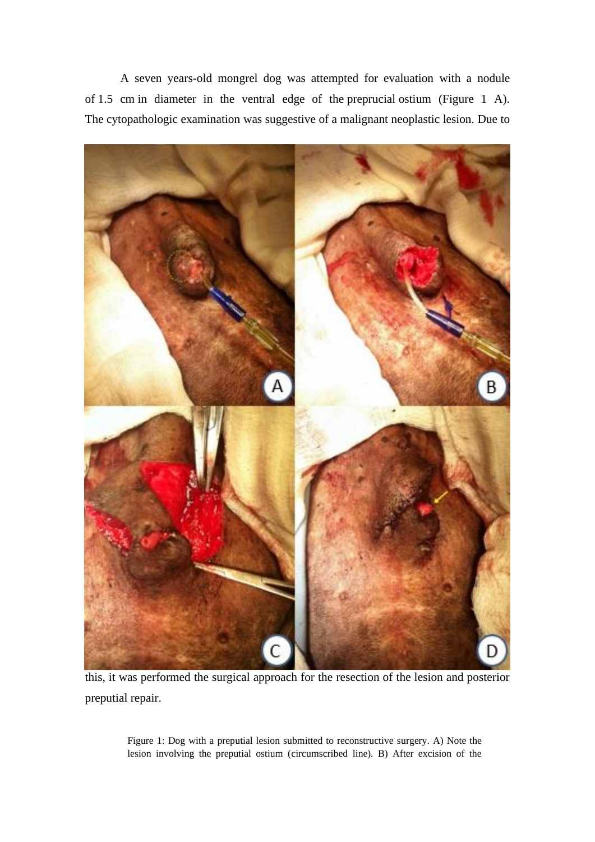A seven years-old mongrel dog was attempted for evaluation with a nodule of 1.5 cm in diameter in the ventral edge of the preprucial ostium (Figure 1 A). The cytopathologic examination was suggestive of a malignant neoplastic lesion. Due to



this, it was performed the surgical approach for the resection of the lesion and posterior preputial repair.

Figure 1: Dog with a preputial lesion submitted to reconstructive surgery. A) Note the lesion involving the preputial ostium (circumscribed line). B) After excision of the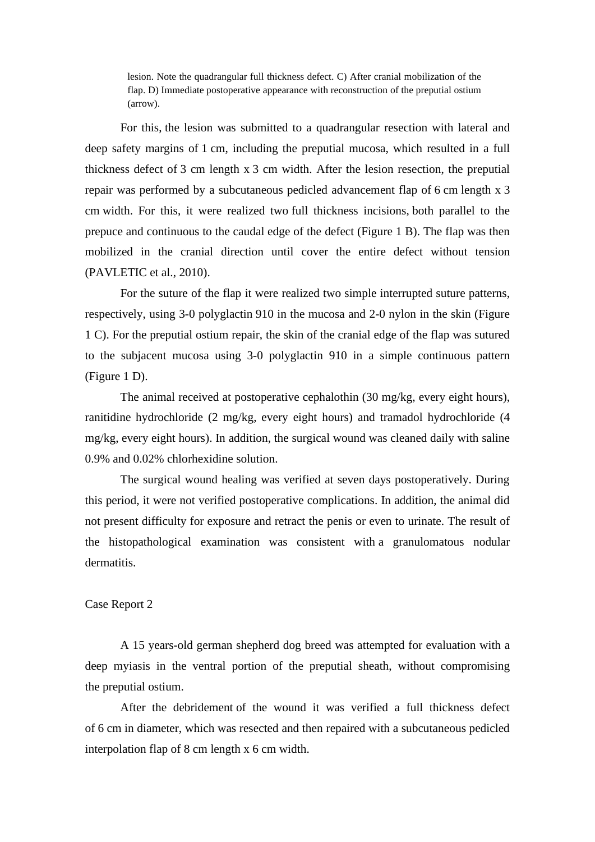lesion. Note the quadrangular full thickness defect. C) After cranial mobilization of the flap. D) Immediate postoperative appearance with reconstruction of the preputial ostium (arrow).

For this, the lesion was submitted to a quadrangular resection with lateral and deep safety margins of 1 cm, including the preputial mucosa, which resulted in a full thickness defect of 3 cm length x 3 cm width. After the lesion resection, the preputial repair was performed by a subcutaneous pedicled advancement flap of 6 cm length x 3 cm width. For this, it were realized two full thickness incisions, both parallel to the prepuce and continuous to the caudal edge of the defect (Figure 1 B). The flap was then mobilized in the cranial direction until cover the entire defect without tension (PAVLETIC et al., 2010).

For the suture of the flap it were realized two simple interrupted suture patterns, respectively, using 3-0 polyglactin 910 in the mucosa and 2-0 nylon in the skin (Figure 1 C). For the preputial ostium repair, the skin of the cranial edge of the flap was sutured to the subjacent mucosa using 3-0 polyglactin 910 in a simple continuous pattern (Figure 1 D).

The animal received at postoperative cephalothin (30 mg/kg, every eight hours), ranitidine hydrochloride (2 mg/kg, every eight hours) and tramadol hydrochloride (4 mg/kg, every eight hours). In addition, the surgical wound was cleaned daily with saline 0.9% and 0.02% chlorhexidine solution.

The surgical wound healing was verified at seven days postoperatively. During this period, it were not verified postoperative complications. In addition, the animal did not present difficulty for exposure and retract the penis or even to urinate. The result of the histopathological examination was consistent with a granulomatous nodular dermatitis.

#### Case Report 2

A 15 years-old german shepherd dog breed was attempted for evaluation with a deep myiasis in the ventral portion of the preputial sheath, without compromising the preputial ostium.

After the debridement of the wound it was verified a full thickness defect of 6 cm in diameter, which was resected and then repaired with a subcutaneous pedicled interpolation flap of 8 cm length x 6 cm width.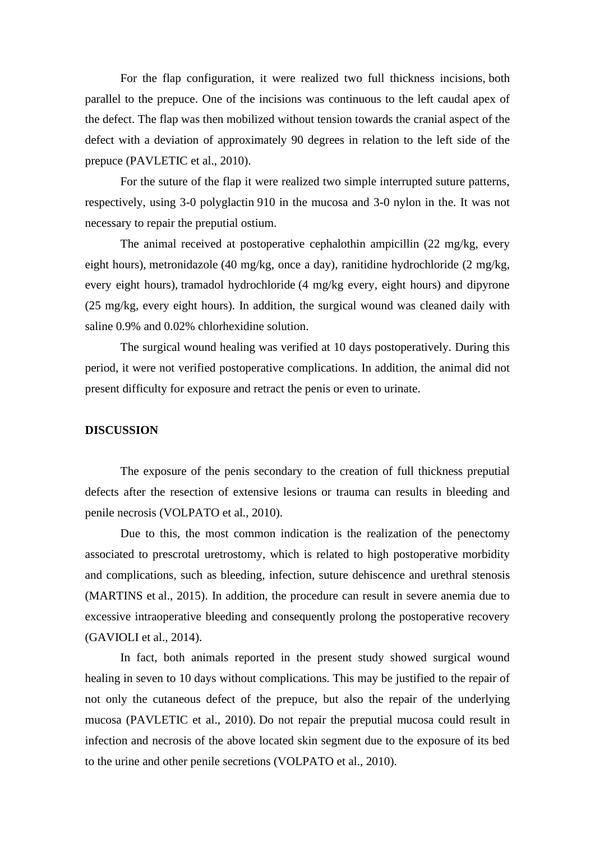For the flap configuration, it were realized two full thickness incisions, both parallel to the prepuce. One of the incisions was continuous to the left caudal apex of the defect. The flap was then mobilized without tension towards the cranial aspect of the defect with a deviation of approximately 90 degrees in relation to the left side of the prepuce (PAVLETIC et al., 2010).

For the suture of the flap it were realized two simple interrupted suture patterns, respectively, using 3-0 polyglactin 910 in the mucosa and 3-0 nylon in the. It was not necessary to repair the preputial ostium.

The animal received at postoperative cephalothin ampicillin (22 mg/kg, every eight hours), metronidazole (40 mg/kg, once a day), ranitidine hydrochloride (2 mg/kg, every eight hours), tramadol hydrochloride (4 mg/kg every, eight hours) and dipyrone (25 mg/kg, every eight hours). In addition, the surgical wound was cleaned daily with saline 0.9% and 0.02% chlorhexidine solution.

The surgical wound healing was verified at 10 days postoperatively. During this period, it were not verified postoperative complications. In addition, the animal did not present difficulty for exposure and retract the penis or even to urinate.

#### **DISCUSSION**

The exposure of the penis secondary to the creation of full thickness preputial defects after the resection of extensive lesions or trauma can results in bleeding and penile necrosis (VOLPATO et al., 2010).

Due to this, the most common indication is the realization of the penectomy associated to prescrotal uretrostomy, which is related to high postoperative morbidity and complications, such as bleeding, infection, suture dehiscence and urethral stenosis (MARTINS et al., 2015). In addition, the procedure can result in severe anemia due to excessive intraoperative bleeding and consequently prolong the postoperative recovery (GAVIOLI et al., 2014).

In fact, both animals reported in the present study showed surgical wound healing in seven to 10 days without complications. This may be justified to the repair of not only the cutaneous defect of the prepuce, but also the repair of the underlying mucosa (PAVLETIC et al., 2010). Do not repair the preputial mucosa could result in infection and necrosis of the above located skin segment due to the exposure of its bed to the urine and other penile secretions (VOLPATO et al., 2010).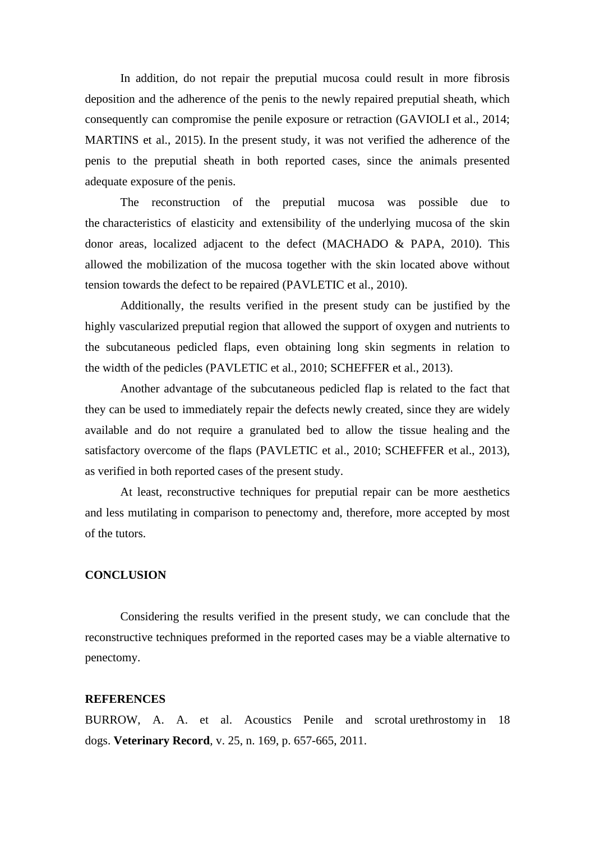In addition, do not repair the preputial mucosa could result in more fibrosis deposition and the adherence of the penis to the newly repaired preputial sheath, which consequently can compromise the penile exposure or retraction (GAVIOLI et al., 2014; MARTINS et al., 2015). In the present study, it was not verified the adherence of the penis to the preputial sheath in both reported cases, since the animals presented adequate exposure of the penis.

The reconstruction of the preputial mucosa was possible due to the characteristics of elasticity and extensibility of the underlying mucosa of the skin donor areas, localized adjacent to the defect (MACHADO & PAPA, 2010). This allowed the mobilization of the mucosa together with the skin located above without tension towards the defect to be repaired (PAVLETIC et al., 2010).

Additionally, the results verified in the present study can be justified by the highly vascularized preputial region that allowed the support of oxygen and nutrients to the subcutaneous pedicled flaps, even obtaining long skin segments in relation to the width of the pedicles (PAVLETIC et al., 2010; SCHEFFER et al., 2013).

Another advantage of the subcutaneous pedicled flap is related to the fact that they can be used to immediately repair the defects newly created, since they are widely available and do not require a granulated bed to allow the tissue healing and the satisfactory overcome of the flaps (PAVLETIC et al., 2010; SCHEFFER et al., 2013), as verified in both reported cases of the present study.

At least, reconstructive techniques for preputial repair can be more aesthetics and less mutilating in comparison to penectomy and, therefore, more accepted by most of the tutors.

#### **CONCLUSION**

Considering the results verified in the present study, we can conclude that the reconstructive techniques preformed in the reported cases may be a viable alternative to penectomy.

#### **REFERENCES**

BURROW, A. A. et al. Acoustics Penile and scrotal urethrostomy in 18 dogs. **Veterinary Record**, v. 25, n. 169, p. 657-665, 2011.